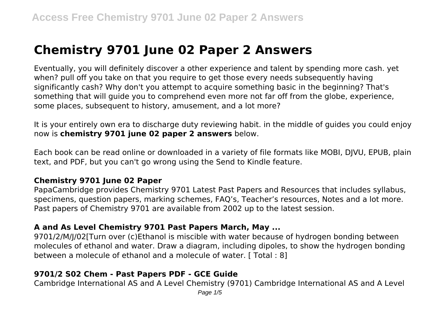# **Chemistry 9701 June 02 Paper 2 Answers**

Eventually, you will definitely discover a other experience and talent by spending more cash. yet when? pull off you take on that you require to get those every needs subsequently having significantly cash? Why don't you attempt to acquire something basic in the beginning? That's something that will guide you to comprehend even more not far off from the globe, experience, some places, subsequent to history, amusement, and a lot more?

It is your entirely own era to discharge duty reviewing habit. in the middle of guides you could enjoy now is **chemistry 9701 june 02 paper 2 answers** below.

Each book can be read online or downloaded in a variety of file formats like MOBI, DJVU, EPUB, plain text, and PDF, but you can't go wrong using the Send to Kindle feature.

#### **Chemistry 9701 June 02 Paper**

PapaCambridge provides Chemistry 9701 Latest Past Papers and Resources that includes syllabus, specimens, question papers, marking schemes, FAQ's, Teacher's resources, Notes and a lot more. Past papers of Chemistry 9701 are available from 2002 up to the latest session.

# **A and As Level Chemistry 9701 Past Papers March, May ...**

9701/2/M/J/02[Turn over (c)Ethanol is miscible with water because of hydrogen bonding between molecules of ethanol and water. Draw a diagram, including dipoles, to show the hydrogen bonding between a molecule of ethanol and a molecule of water. [ Total : 8]

# **9701/2 S02 Chem - Past Papers PDF - GCE Guide**

Cambridge International AS and A Level Chemistry (9701) Cambridge International AS and A Level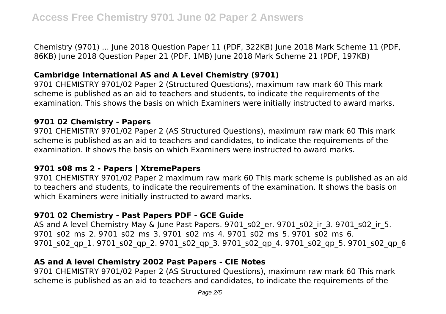Chemistry (9701) ... June 2018 Question Paper 11 (PDF, 322KB) June 2018 Mark Scheme 11 (PDF, 86KB) June 2018 Question Paper 21 (PDF, 1MB) June 2018 Mark Scheme 21 (PDF, 197KB)

# **Cambridge International AS and A Level Chemistry (9701)**

9701 CHEMISTRY 9701/02 Paper 2 (Structured Questions), maximum raw mark 60 This mark scheme is published as an aid to teachers and students, to indicate the requirements of the examination. This shows the basis on which Examiners were initially instructed to award marks.

#### **9701 02 Chemistry - Papers**

9701 CHEMISTRY 9701/02 Paper 2 (AS Structured Questions), maximum raw mark 60 This mark scheme is published as an aid to teachers and candidates, to indicate the requirements of the examination. It shows the basis on which Examiners were instructed to award marks.

## **9701 s08 ms 2 - Papers | XtremePapers**

9701 CHEMISTRY 9701/02 Paper 2 maximum raw mark 60 This mark scheme is published as an aid to teachers and students, to indicate the requirements of the examination. It shows the basis on which Examiners were initially instructed to award marks.

# **9701 02 Chemistry - Past Papers PDF - GCE Guide**

AS and A level Chemistry May & June Past Papers. 9701\_s02\_er. 9701\_s02\_ir\_3. 9701\_s02\_ir\_5. 9701\_s02\_ms\_2. 9701\_s02\_ms\_3. 9701\_s02\_ms\_4. 9701\_s02\_ms\_5. 9701\_s02\_ms\_6. 9701\_s02\_qp\_1. 9701\_s02\_qp\_2. 9701\_s02\_qp\_3. 9701\_s02\_qp\_4. 9701\_s02\_qp\_5. 9701\_s02\_qp\_6

# **AS and A level Chemistry 2002 Past Papers - CIE Notes**

9701 CHEMISTRY 9701/02 Paper 2 (AS Structured Questions), maximum raw mark 60 This mark scheme is published as an aid to teachers and candidates, to indicate the requirements of the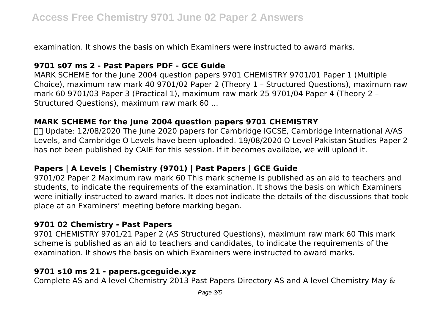examination. It shows the basis on which Examiners were instructed to award marks.

# **9701 s07 ms 2 - Past Papers PDF - GCE Guide**

MARK SCHEME for the June 2004 question papers 9701 CHEMISTRY 9701/01 Paper 1 (Multiple Choice), maximum raw mark 40 9701/02 Paper 2 (Theory 1 – Structured Questions), maximum raw mark 60 9701/03 Paper 3 (Practical 1), maximum raw mark 25 9701/04 Paper 4 (Theory 2 – Structured Questions), maximum raw mark 60 ...

#### **MARK SCHEME for the June 2004 question papers 9701 CHEMISTRY**

 Update: 12/08/2020 The June 2020 papers for Cambridge IGCSE, Cambridge International A/AS Levels, and Cambridge O Levels have been uploaded. 19/08/2020 O Level Pakistan Studies Paper 2 has not been published by CAIE for this session. If it becomes availabe, we will upload it.

## **Papers | A Levels | Chemistry (9701) | Past Papers | GCE Guide**

9701/02 Paper 2 Maximum raw mark 60 This mark scheme is published as an aid to teachers and students, to indicate the requirements of the examination. It shows the basis on which Examiners were initially instructed to award marks. It does not indicate the details of the discussions that took place at an Examiners' meeting before marking began.

#### **9701 02 Chemistry - Past Papers**

9701 CHEMISTRY 9701/21 Paper 2 (AS Structured Questions), maximum raw mark 60 This mark scheme is published as an aid to teachers and candidates, to indicate the requirements of the examination. It shows the basis on which Examiners were instructed to award marks.

## **9701 s10 ms 21 - papers.gceguide.xyz**

Complete AS and A level Chemistry 2013 Past Papers Directory AS and A level Chemistry May &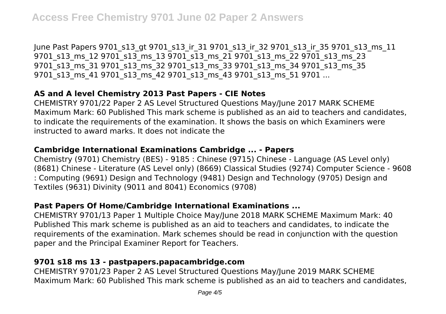June Past Papers 9701\_s13\_gt 9701\_s13\_ir\_31 9701\_s13\_ir\_32 9701\_s13\_ir\_35 9701\_s13\_ms\_11 9701 s13 ms 12 9701 s13 ms 13 9701 s13 ms 21 9701 s13 ms 22 9701 s13 ms 23 9701\_s13\_ms\_31 9701\_s13\_ms\_32 9701\_s13\_ms\_33 9701\_s13\_ms\_34 9701\_s13\_ms\_35 9701 s13 ms 41 9701 s13 ms 42 9701 s13 ms 43 9701 s13 ms 51 9701 ...

# **AS and A level Chemistry 2013 Past Papers - CIE Notes**

CHEMISTRY 9701/22 Paper 2 AS Level Structured Questions May/June 2017 MARK SCHEME Maximum Mark: 60 Published This mark scheme is published as an aid to teachers and candidates, to indicate the requirements of the examination. It shows the basis on which Examiners were instructed to award marks. It does not indicate the

## **Cambridge International Examinations Cambridge ... - Papers**

Chemistry (9701) Chemistry (BES) - 9185 : Chinese (9715) Chinese - Language (AS Level only) (8681) Chinese - Literature (AS Level only) (8669) Classical Studies (9274) Computer Science - 9608 : Computing (9691) Design and Technology (9481) Design and Technology (9705) Design and Textiles (9631) Divinity (9011 and 8041) Economics (9708)

## **Past Papers Of Home/Cambridge International Examinations ...**

CHEMISTRY 9701/13 Paper 1 Multiple Choice May/June 2018 MARK SCHEME Maximum Mark: 40 Published This mark scheme is published as an aid to teachers and candidates, to indicate the requirements of the examination. Mark schemes should be read in conjunction with the question paper and the Principal Examiner Report for Teachers.

# **9701 s18 ms 13 - pastpapers.papacambridge.com**

CHEMISTRY 9701/23 Paper 2 AS Level Structured Questions May/June 2019 MARK SCHEME Maximum Mark: 60 Published This mark scheme is published as an aid to teachers and candidates,